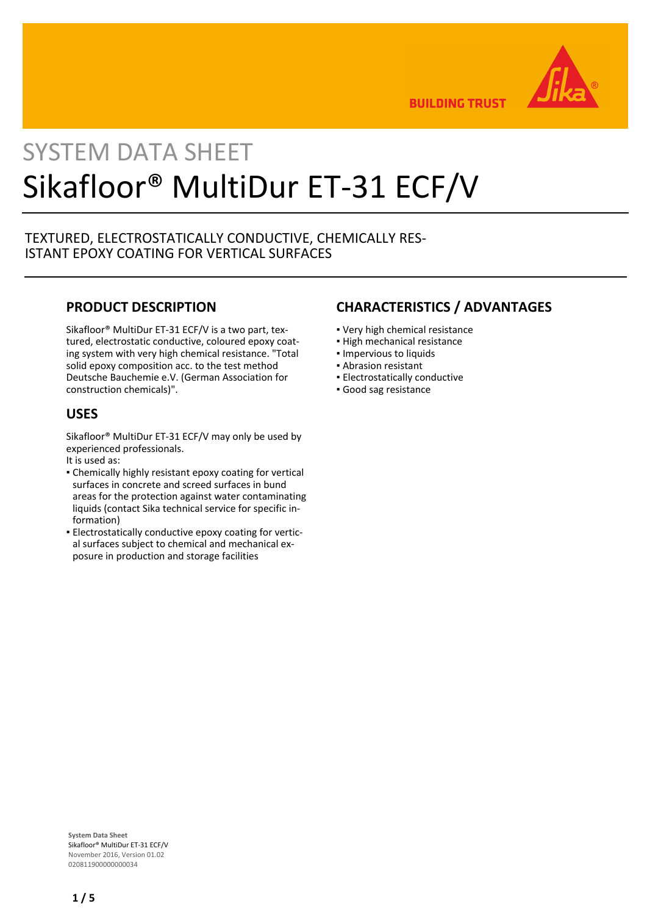

**BUILDING TRUST** 

# SYSTEM DATA SHEET Sikafloor® MultiDur ET-31 ECF/V

# TEXTURED, ELECTROSTATICALLY CONDUCTIVE, CHEMICALLY RES-ISTANT EPOXY COATING FOR VERTICAL SURFACES

# **PRODUCT DESCRIPTION**

Sikafloor® MultiDur ET-31 ECF/V is a two part, textured, electrostatic conductive, coloured epoxy coating system with very high chemical resistance. "Total solid epoxy composition acc. to the test method Deutsche Bauchemie e.V. (German Association for construction chemicals)".

# **USES**

Sikafloor® MultiDur ET-31 ECF/V may only be used by experienced professionals.

- It is used as:
- Chemically highly resistant epoxy coating for vertical surfaces in concrete and screed surfaces in bund areas for the protection against water contaminating liquids (contact Sika technical service for specific information)
- **Electrostatically conductive epoxy coating for vertic**al surfaces subject to chemical and mechanical exposure in production and storage facilities

# **CHARACTERISTICS / ADVANTAGES**

- Very high chemical resistance
- High mechanical resistance
- Impervious to liquids
- Abrasion resistant
- **Electrostatically conductive**
- Good sag resistance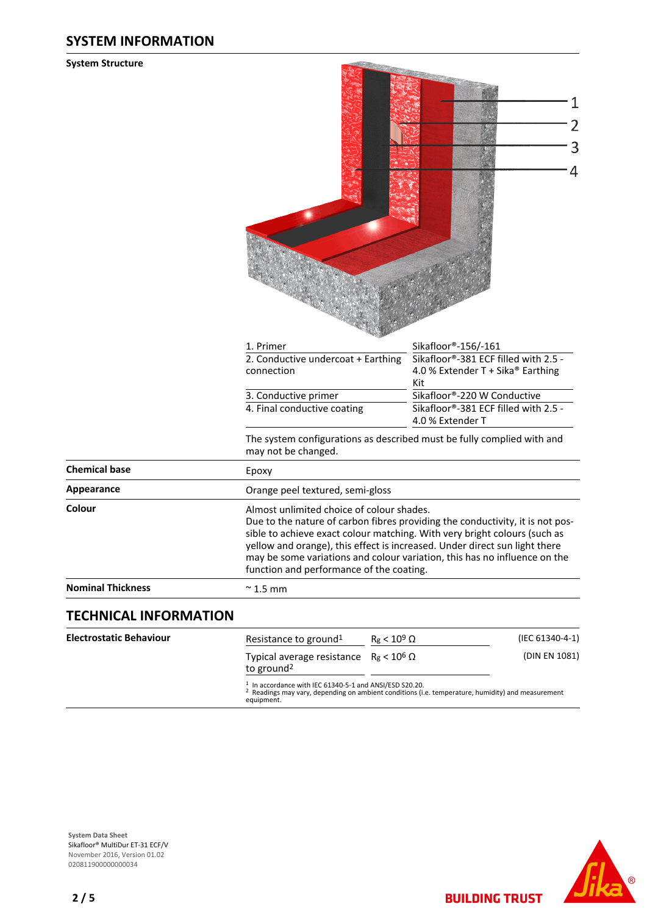# **SYSTEM INFORMATION**

#### **System Structure**

|                                | 1. Primer                                                                                                                                                                                                                                                                                                                                                                                                      | Sikafloor®-156/-161                                                              |  |
|--------------------------------|----------------------------------------------------------------------------------------------------------------------------------------------------------------------------------------------------------------------------------------------------------------------------------------------------------------------------------------------------------------------------------------------------------------|----------------------------------------------------------------------------------|--|
|                                | 2. Conductive undercoat + Earthing<br>connection                                                                                                                                                                                                                                                                                                                                                               | Sikafloor®-381 ECF filled with 2.5 -<br>4.0 % Extender T + Sika® Earthing<br>Kit |  |
|                                | 3. Conductive primer                                                                                                                                                                                                                                                                                                                                                                                           | Sikafloor®-220 W Conductive                                                      |  |
|                                | 4. Final conductive coating                                                                                                                                                                                                                                                                                                                                                                                    | Sikafloor®-381 ECF filled with 2.5 -<br>4.0 % Extender T                         |  |
|                                | The system configurations as described must be fully complied with and<br>may not be changed.                                                                                                                                                                                                                                                                                                                  |                                                                                  |  |
| <b>Chemical base</b>           | Epoxy                                                                                                                                                                                                                                                                                                                                                                                                          |                                                                                  |  |
| Appearance                     | Orange peel textured, semi-gloss                                                                                                                                                                                                                                                                                                                                                                               |                                                                                  |  |
| Colour                         | Almost unlimited choice of colour shades.<br>Due to the nature of carbon fibres providing the conductivity, it is not pos-<br>sible to achieve exact colour matching. With very bright colours (such as<br>yellow and orange), this effect is increased. Under direct sun light there<br>may be some variations and colour variation, this has no influence on the<br>function and performance of the coating. |                                                                                  |  |
| <b>Nominal Thickness</b>       | $\approx$ 1.5 mm                                                                                                                                                                                                                                                                                                                                                                                               |                                                                                  |  |
| <b>TECHNICAL INFORMATION</b>   |                                                                                                                                                                                                                                                                                                                                                                                                                |                                                                                  |  |
| <b>Electrostatic Behaviour</b> | $R_g < 10^9 \Omega$<br>Resistance to ground <sup>1</sup>                                                                                                                                                                                                                                                                                                                                                       | (IEC 61340-4-1)                                                                  |  |

**The Common** 

Typical average resistance  $R_g < 10^6$  Ω (DIN EN 1081) to ground<sup>2</sup>

1 In accordance with IEC 61340-5-1 and ANSI/ESD S20.20. 2 Readings may vary, depending on ambient conditions (i.e. temperature, humidity) and measurement equipment.



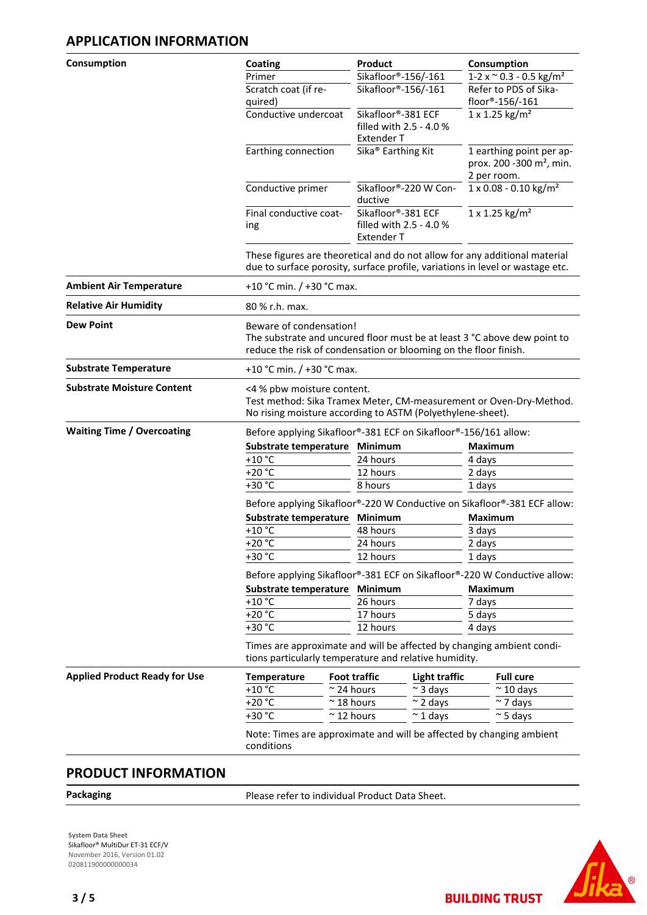# **APPLICATION INFORMATION**

| Consumption                          | Coating                       |                                                                                                                                                                         | Product                                                            |                                | Consumption                                                                     |  |
|--------------------------------------|-------------------------------|-------------------------------------------------------------------------------------------------------------------------------------------------------------------------|--------------------------------------------------------------------|--------------------------------|---------------------------------------------------------------------------------|--|
|                                      | Primer                        |                                                                                                                                                                         | Sikafloor®-156/-161                                                |                                | $1-2 \times \degree 0.3 - 0.5 \text{ kg/m}^2$                                   |  |
|                                      | Scratch coat (if re-          |                                                                                                                                                                         | Sikafloor®-156/-161                                                |                                | Refer to PDS of Sika-                                                           |  |
|                                      | quired)                       |                                                                                                                                                                         |                                                                    |                                | floor®-156/-161<br>$1 \times 1.25$ kg/m <sup>2</sup>                            |  |
|                                      |                               | Conductive undercoat<br>Sikafloor®-381 ECF<br>filled with 2.5 - 4.0 %<br><b>Extender T</b>                                                                              |                                                                    |                                |                                                                                 |  |
|                                      |                               | Sika <sup>®</sup> Earthing Kit<br>Earthing connection                                                                                                                   |                                                                    |                                | 1 earthing point per ap-<br>prox. 200 -300 m <sup>2</sup> , min.<br>2 per room. |  |
|                                      | Conductive primer             |                                                                                                                                                                         | Sikafloor®-220 W Con-<br>ductive                                   |                                | 1 x 0.08 - 0.10 kg/m <sup>2</sup>                                               |  |
|                                      | Final conductive coat-<br>ing |                                                                                                                                                                         | Sikafloor®-381 ECF<br>filled with 2.5 - 4.0 %<br><b>Extender T</b> |                                | 1 x 1.25 kg/m <sup>2</sup>                                                      |  |
|                                      |                               | These figures are theoretical and do not allow for any additional material<br>due to surface porosity, surface profile, variations in level or wastage etc.             |                                                                    |                                |                                                                                 |  |
| <b>Ambient Air Temperature</b>       |                               | +10 °C min. / +30 °C max.                                                                                                                                               |                                                                    |                                |                                                                                 |  |
| <b>Relative Air Humidity</b>         | 80 % r.h. max.                |                                                                                                                                                                         |                                                                    |                                |                                                                                 |  |
| <b>Dew Point</b>                     |                               | Beware of condensation!<br>The substrate and uncured floor must be at least 3 °C above dew point to<br>reduce the risk of condensation or blooming on the floor finish. |                                                                    |                                |                                                                                 |  |
| <b>Substrate Temperature</b>         |                               | +10 °C min. / +30 °C max.                                                                                                                                               |                                                                    |                                |                                                                                 |  |
| <b>Substrate Moisture Content</b>    |                               | <4 % pbw moisture content.<br>Test method: Sika Tramex Meter, CM-measurement or Oven-Dry-Method.<br>No rising moisture according to ASTM (Polyethylene-sheet).          |                                                                    |                                |                                                                                 |  |
| <b>Waiting Time / Overcoating</b>    |                               | Before applying Sikafloor®-381 ECF on Sikafloor®-156/161 allow:                                                                                                         |                                                                    |                                |                                                                                 |  |
|                                      |                               | Substrate temperature<br>Minimum<br>$+10$ °C<br>24 hours<br>$+20 °C$<br>12 hours                                                                                        |                                                                    |                                | <b>Maximum</b>                                                                  |  |
|                                      |                               |                                                                                                                                                                         |                                                                    |                                | 4 days                                                                          |  |
|                                      |                               |                                                                                                                                                                         |                                                                    |                                | 2 days                                                                          |  |
|                                      |                               | $+30 °C$                                                                                                                                                                |                                                                    |                                | 1 days                                                                          |  |
|                                      |                               | Before applying Sikafloor®-220 W Conductive on Sikafloor®-381 ECF allow:                                                                                                |                                                                    |                                |                                                                                 |  |
|                                      |                               | <b>Minimum</b><br>Substrate temperature                                                                                                                                 |                                                                    |                                | <b>Maximum</b>                                                                  |  |
|                                      | $+10 °C$                      |                                                                                                                                                                         | 48 hours                                                           |                                | 3 days<br>2 days                                                                |  |
|                                      | $+20 °C$                      | 24 hours                                                                                                                                                                |                                                                    |                                |                                                                                 |  |
|                                      |                               | +30 °C<br>12 hours                                                                                                                                                      |                                                                    |                                | 1 days                                                                          |  |
|                                      |                               | Before applying Sikafloor®-381 ECF on Sikafloor®-220 W Conductive allow:<br>Minimum                                                                                     |                                                                    |                                |                                                                                 |  |
|                                      |                               | Substrate temperature                                                                                                                                                   |                                                                    |                                | <b>Maximum</b>                                                                  |  |
|                                      |                               | $+10$ °C                                                                                                                                                                |                                                                    |                                | 7 days                                                                          |  |
|                                      |                               | $+20 °C$                                                                                                                                                                |                                                                    |                                | 5 days                                                                          |  |
|                                      | +30 °C                        |                                                                                                                                                                         | 12 hours                                                           |                                | 4 days                                                                          |  |
|                                      |                               | Times are approximate and will be affected by changing ambient condi-<br>tions particularly temperature and relative humidity.                                          |                                                                    |                                |                                                                                 |  |
| <b>Applied Product Ready for Use</b> | Temperature                   |                                                                                                                                                                         | <b>Foot traffic</b>                                                | <b>Light traffic</b>           | <b>Full cure</b>                                                                |  |
|                                      | $+10$ °C                      |                                                                                                                                                                         | $\approx$ 24 hours                                                 | $\sim$ 3 days                  | $\approx$ 10 days                                                               |  |
|                                      | $+20 °C$                      |                                                                                                                                                                         | $~^{\sim}$ 18 hours                                                | $\sim$ 2 days                  | $\sim$ 7 days                                                                   |  |
|                                      | +30 °C                        |                                                                                                                                                                         | $\sim$ 12 hours                                                    | $\sim$ 1 days<br>$\sim$ 5 days |                                                                                 |  |
|                                      | conditions                    |                                                                                                                                                                         |                                                                    |                                | Note: Times are approximate and will be affected by changing ambient            |  |

# **PRODUCT INFORMATION**

Packaging **Packaging Please refer to individual Product Data Sheet.** 

**System Data Sheet** Sikafloor® MultiDur ET-31 ECF/V November 2016, Version 01.02 020811900000000034

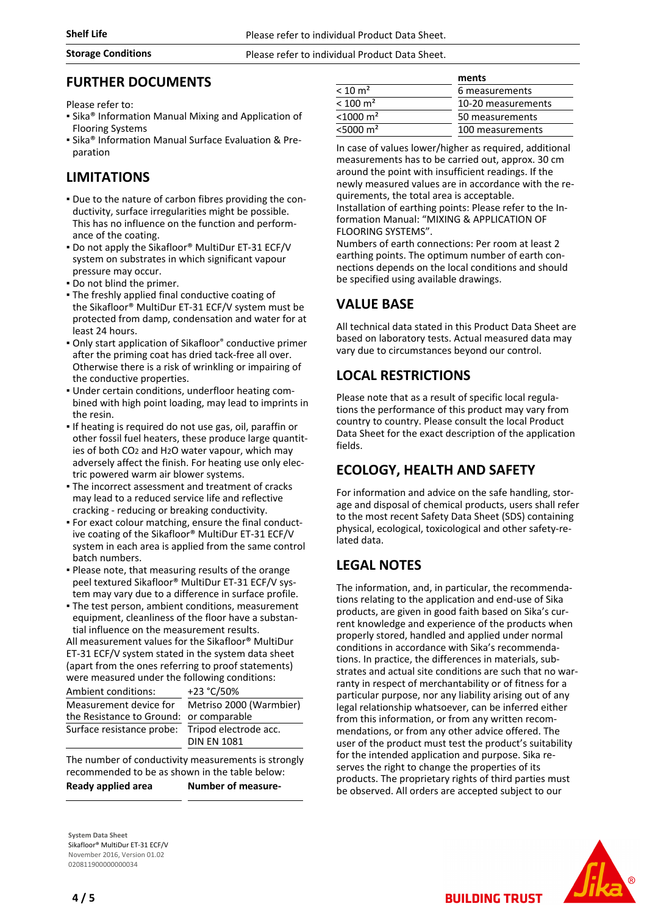### **Storage Conditions** Please refer to individual Product Data Sheet.

## **FURTHER DOCUMENTS**

Please refer to:

- **.** Sika<sup>®</sup> Information Manual Mixing and Application of Flooring Systems
- Sika® Information Manual Surface Evaluation & Preparation

# **LIMITATIONS**

- Due to the nature of carbon fibres providing the con-▪ ductivity, surface irregularities might be possible. This has no influence on the function and performance of the coating.
- **Do not apply the Sikafloor® MultiDur ET-31 ECF/V** system on substrates in which significant vapour pressure may occur.
- Do not blind the primer.
- The freshly applied final conductive coating of the Sikafloor® MultiDur ET-31 ECF/V system must be protected from damp, condensation and water for at least 24 hours.
- Only start application of Sikafloor® conductive primer after the priming coat has dried tack-free all over. Otherwise there is a risk of wrinkling or impairing of the conductive properties.
- Under certain conditions, underfloor heating com-▪ bined with high point loading, may lead to imprints in the resin.
- If heating is required do not use gas, oil, paraffin or other fossil fuel heaters, these produce large quantities of both CO2 and H2O water vapour, which may adversely affect the finish. For heating use only electric powered warm air blower systems.
- **The incorrect assessment and treatment of cracks** may lead to a reduced service life and reflective cracking - reducing or breaking conductivity.
- For exact colour matching, ensure the final conduct-▪ ive coating of the Sikafloor® MultiDur ET-31 ECF/V system in each area is applied from the same control batch numbers.
- Please note, that measuring results of the orange peel textured Sikafloor® MultiDur ET-31 ECF/V system may vary due to a difference in surface profile.
- **The test person, ambient conditions, measurement** equipment, cleanliness of the floor have a substantial influence on the measurement results.

All measurement values for the Sikafloor® MultiDur ET-31 ECF/V system stated in the system data sheet (apart from the ones referring to proof statements) were measured under the following conditions:

| Ambient conditions:                     | +23 °C/50%              |  |  |
|-----------------------------------------|-------------------------|--|--|
| Measurement device for                  | Metriso 2000 (Warmbier) |  |  |
| the Resistance to Ground: or comparable |                         |  |  |
| Surface resistance probe:               | Tripod electrode acc.   |  |  |
|                                         | <b>DIN EN 1081</b>      |  |  |

The number of conductivity measurements is strongly recommended to be as shown in the table below: **Ready applied area Number of measure-**

**System Data Sheet** Sikafloor® MultiDur ET-31 ECF/V November 2016, Version 01.02 020811900000000034

|                         | ments              |  |
|-------------------------|--------------------|--|
| $< 10 \text{ m}^2$      | 6 measurements     |  |
| $< 100 \; \mathrm{m}^2$ | 10-20 measurements |  |
| $< 1000 \text{ m}^2$    | 50 measurements    |  |
| $<$ 5000 m <sup>2</sup> | 100 measurements   |  |
|                         |                    |  |

In case of values lower/higher as required, additional measurements has to be carried out, approx. 30 cm around the point with insufficient readings. If the newly measured values are in accordance with the requirements, the total area is acceptable. Installation of earthing points: Please refer to the Information Manual: "MIXING & APPLICATION OF FLOORING SYSTEMS".

Numbers of earth connections: Per room at least 2 earthing points. The optimum number of earth connections depends on the local conditions and should be specified using available drawings.

# **VALUE BASE**

All technical data stated in this Product Data Sheet are based on laboratory tests. Actual measured data may vary due to circumstances beyond our control.

# **LOCAL RESTRICTIONS**

Please note that as a result of specific local regulations the performance of this product may vary from country to country. Please consult the local Product Data Sheet for the exact description of the application fields.

# **ECOLOGY, HEALTH AND SAFETY**

For information and advice on the safe handling, storage and disposal of chemical products, users shall refer to the most recent Safety Data Sheet (SDS) containing physical, ecological, toxicological and other safety-related data.

# **LEGAL NOTES**

The information, and, in particular, the recommendations relating to the application and end-use of Sika products, are given in good faith based on Sika's current knowledge and experience of the products when properly stored, handled and applied under normal conditions in accordance with Sika's recommendations. In practice, the differences in materials, substrates and actual site conditions are such that no warranty in respect of merchantability or of fitness for a particular purpose, nor any liability arising out of any legal relationship whatsoever, can be inferred either from this information, or from any written recommendations, or from any other advice offered. The user of the product must test the product's suitability for the intended application and purpose. Sika reserves the right to change the properties of its products. The proprietary rights of third parties must be observed. All orders are accepted subject to our